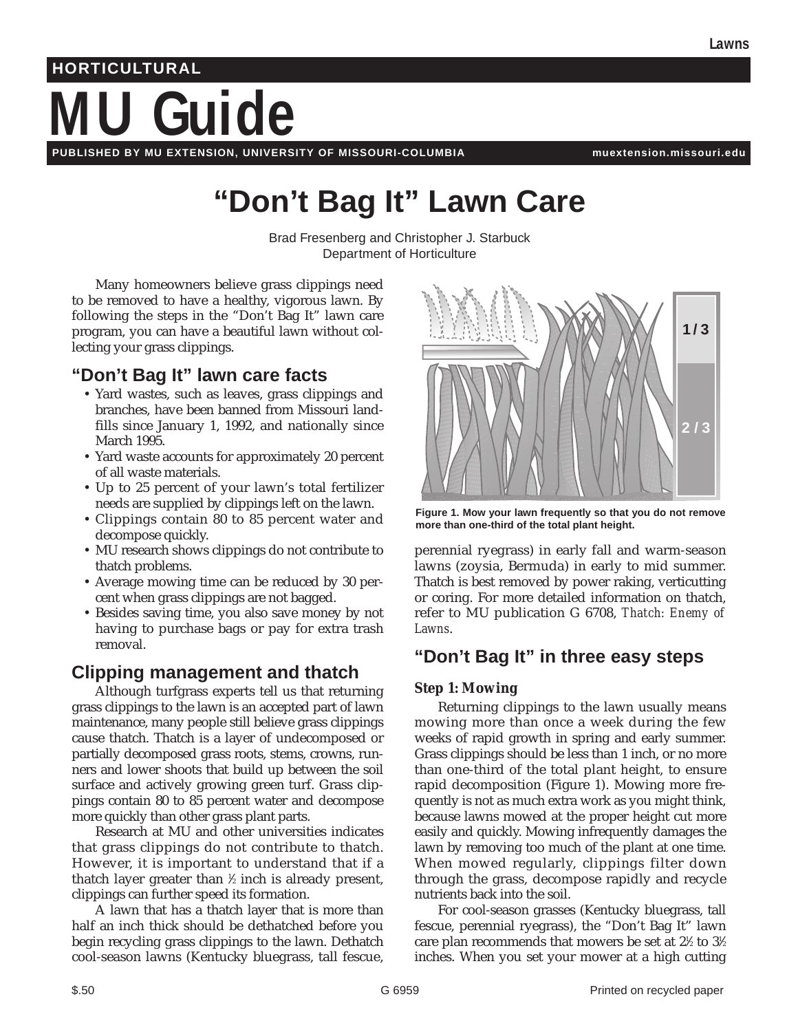# **MU Guide HORTICULTURAL**

**PUBLISHED BY MU EXTENSION, UNIVERSITY OF MISSOURI-COLUMBIA muextension.missouri.edu**

## **"Don't Bag It" Lawn Care**

Brad Fresenberg and Christopher J. Starbuck Department of Horticulture

Many homeowners believe grass clippings need to be removed to have a healthy, vigorous lawn. By following the steps in the "Don't Bag It" lawn care program, you can have a beautiful lawn without collecting your grass clippings.

## **"Don't Bag It" lawn care facts**

- Yard wastes, such as leaves, grass clippings and branches, have been banned from Missouri landfills since January 1, 1992, and nationally since March 1995.
- Yard waste accounts for approximately 20 percent of all waste materials.
- Up to 25 percent of your lawn's total fertilizer needs are supplied by clippings left on the lawn.
- Clippings contain 80 to 85 percent water and decompose quickly.
- MU research shows clippings do not contribute to thatch problems.
- Average mowing time can be reduced by 30 percent when grass clippings are not bagged.
- Besides saving time, you also save money by not having to purchase bags or pay for extra trash removal.

## **Clipping management and thatch**

Although turfgrass experts tell us that returning grass clippings to the lawn is an accepted part of lawn maintenance, many people still believe grass clippings cause thatch. Thatch is a layer of undecomposed or partially decomposed grass roots, stems, crowns, runners and lower shoots that build up between the soil surface and actively growing green turf. Grass clippings contain 80 to 85 percent water and decompose more quickly than other grass plant parts.

Research at MU and other universities indicates that grass clippings do not contribute to thatch. However, it is important to understand that if a thatch layer greater than ½ inch is already present, clippings can further speed its formation.

A lawn that has a thatch layer that is more than half an inch thick should be dethatched before you begin recycling grass clippings to the lawn. Dethatch cool-season lawns (Kentucky bluegrass, tall fescue,



**Figure 1. Mow your lawn frequently so that you do not remove more than one-third of the total plant height.**

perennial ryegrass) in early fall and warm-season lawns (zoysia, Bermuda) in early to mid summer. Thatch is best removed by power raking, verticutting or coring. For more detailed information on thatch, refer to MU publication G 6708, *Thatch: Enemy of Lawns*.

## **"Don't Bag It" in three easy steps**

#### **Step 1: Mowing**

Returning clippings to the lawn usually means mowing more than once a week during the few weeks of rapid growth in spring and early summer. Grass clippings should be less than 1 inch, or no more than one-third of the total plant height, to ensure rapid decomposition (Figure 1). Mowing more frequently is not as much extra work as you might think, because lawns mowed at the proper height cut more easily and quickly. Mowing infrequently damages the lawn by removing too much of the plant at one time. When mowed regularly, clippings filter down through the grass, decompose rapidly and recycle nutrients back into the soil.

For cool-season grasses (Kentucky bluegrass, tall fescue, perennial ryegrass), the "Don't Bag It" lawn care plan recommends that mowers be set at 2½ to 3½ inches. When you set your mower at a high cutting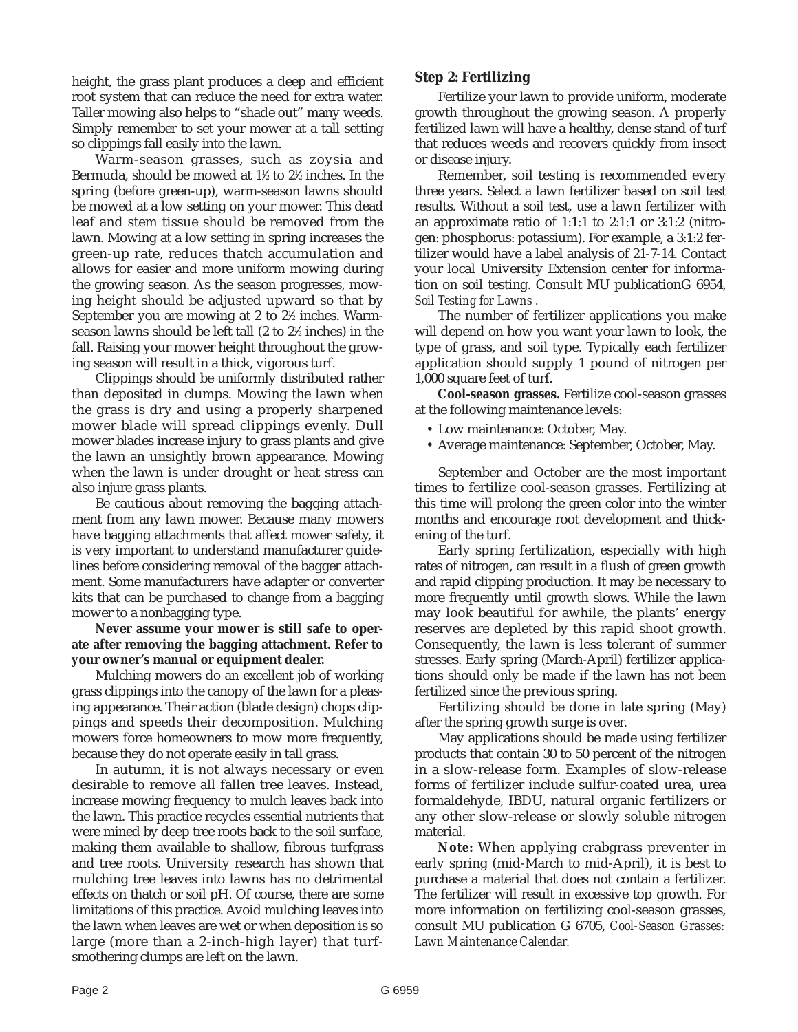height, the grass plant produces a deep and efficient root system that can reduce the need for extra water. Taller mowing also helps to "shade out" many weeds. Simply remember to set your mower at a tall setting so clippings fall easily into the lawn.

Warm-season grasses, such as zoysia and Bermuda, should be mowed at 1½ to 2½ inches. In the spring (before green-up), warm-season lawns should be mowed at a low setting on your mower. This dead leaf and stem tissue should be removed from the lawn. Mowing at a low setting in spring increases the green-up rate, reduces thatch accumulation and allows for easier and more uniform mowing during the growing season. As the season progresses, mowing height should be adjusted upward so that by September you are mowing at 2 to 2½ inches. Warmseason lawns should be left tall (2 to 2½ inches) in the fall. Raising your mower height throughout the growing season will result in a thick, vigorous turf.

Clippings should be uniformly distributed rather than deposited in clumps. Mowing the lawn when the grass is dry and using a properly sharpened mower blade will spread clippings evenly. Dull mower blades increase injury to grass plants and give the lawn an unsightly brown appearance. Mowing when the lawn is under drought or heat stress can also injure grass plants.

Be cautious about removing the bagging attachment from any lawn mower. Because many mowers have bagging attachments that affect mower safety, it is very important to understand manufacturer guidelines before considering removal of the bagger attachment. Some manufacturers have adapter or converter kits that can be purchased to change from a bagging mower to a nonbagging type.

**Never assume your mower is still safe to operate after removing the bagging attachment. Refer to your owner's manual or equipment dealer.**

Mulching mowers do an excellent job of working grass clippings into the canopy of the lawn for a pleasing appearance. Their action (blade design) chops clippings and speeds their decomposition. Mulching mowers force homeowners to mow more frequently, because they do not operate easily in tall grass.

In autumn, it is not always necessary or even desirable to remove all fallen tree leaves. Instead, increase mowing frequency to mulch leaves back into the lawn. This practice recycles essential nutrients that were mined by deep tree roots back to the soil surface, making them available to shallow, fibrous turfgrass and tree roots. University research has shown that mulching tree leaves into lawns has no detrimental effects on thatch or soil pH. Of course, there are some limitations of this practice. Avoid mulching leaves into the lawn when leaves are wet or when deposition is so large (more than a 2-inch-high layer) that turfsmothering clumps are left on the lawn.

#### **Step 2: Fertilizing**

Fertilize your lawn to provide uniform, moderate growth throughout the growing season. A properly fertilized lawn will have a healthy, dense stand of turf that reduces weeds and recovers quickly from insect or disease injury.

Remember, soil testing is recommended every three years. Select a lawn fertilizer based on soil test results. Without a soil test, use a lawn fertilizer with an approximate ratio of 1:1:1 to 2:1:1 or 3:1:2 (nitrogen: phosphorus: potassium). For example, a 3:1:2 fertilizer would have a label analysis of 21-7-14. Contact your local University Extension center for information on soil testing. Consult MU publicationG 6954, *Soil Testing for Lawns .*

The number of fertilizer applications you make will depend on how you want your lawn to look, the type of grass, and soil type. Typically each fertilizer application should supply 1 pound of nitrogen per 1,000 square feet of turf.

**Cool-season grasses.** Fertilize cool-season grasses at the following maintenance levels:

- Low maintenance: October, May.
- Average maintenance: September, October, May.

September and October are the most important times to fertilize cool-season grasses. Fertilizing at this time will prolong the green color into the winter months and encourage root development and thickening of the turf.

Early spring fertilization, especially with high rates of nitrogen, can result in a flush of green growth and rapid clipping production. It may be necessary to more frequently until growth slows. While the lawn may look beautiful for awhile, the plants' energy reserves are depleted by this rapid shoot growth. Consequently, the lawn is less tolerant of summer stresses. Early spring (March-April) fertilizer applications should only be made if the lawn has not been fertilized since the previous spring.

Fertilizing should be done in late spring (May) after the spring growth surge is over.

May applications should be made using fertilizer products that contain 30 to 50 percent of the nitrogen in a slow-release form. Examples of slow-release forms of fertilizer include sulfur-coated urea, urea formaldehyde, IBDU, natural organic fertilizers or any other slow-release or slowly soluble nitrogen material.

**Note:** When applying crabgrass preventer in early spring (mid-March to mid-April), it is best to purchase a material that does not contain a fertilizer. The fertilizer will result in excessive top growth. For more information on fertilizing cool-season grasses, consult MU publication G 6705, *Cool-Season Grasses: Lawn Maintenance Calendar.*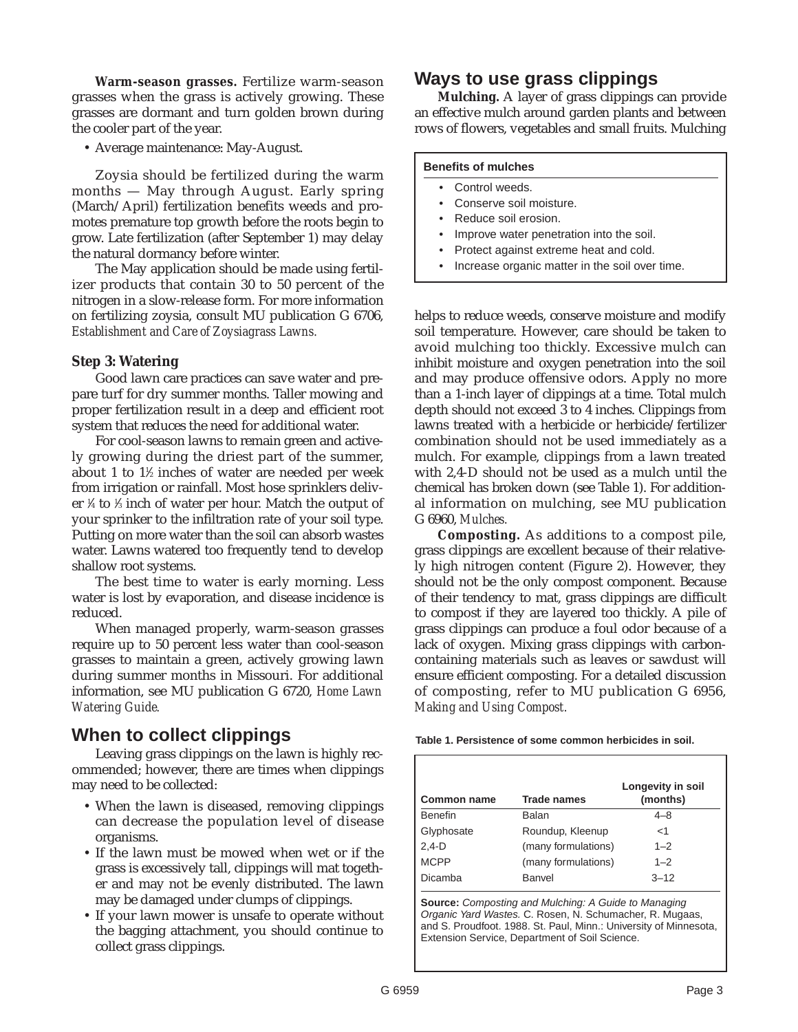**Warm-season grasses.** Fertilize warm-season grasses when the grass is actively growing. These grasses are dormant and turn golden brown during the cooler part of the year.

• Average maintenance: May-August.

Zoysia should be fertilized during the warm months — May through August. Early spring (March/April) fertilization benefits weeds and promotes premature top growth before the roots begin to grow. Late fertilization (after September 1) may delay the natural dormancy before winter.

The May application should be made using fertilizer products that contain 30 to 50 percent of the nitrogen in a slow-release form. For more information on fertilizing zoysia, consult MU publication G 6706, *Establishment and Care of Zoysiagrass Lawns.*

#### **Step 3: Watering**

Good lawn care practices can save water and prepare turf for dry summer months. Taller mowing and proper fertilization result in a deep and efficient root system that reduces the need for additional water.

For cool-season lawns to remain green and actively growing during the driest part of the summer, about 1 to  $1\%$  inches of water are needed per week from irrigation or rainfall. Most hose sprinklers deliver 1 ⁄4 to 1 ⁄3 inch of water per hour. Match the output of your sprinker to the infiltration rate of your soil type. Putting on more water than the soil can absorb wastes water. Lawns watered too frequently tend to develop shallow root systems.

The best time to water is early morning. Less water is lost by evaporation, and disease incidence is reduced.

When managed properly, warm-season grasses require up to 50 percent less water than cool-season grasses to maintain a green, actively growing lawn during summer months in Missouri. For additional information, see MU publication G 6720, *Home Lawn Watering Guide.*

### **When to collect clippings**

Leaving grass clippings on the lawn is highly recommended; however, there are times when clippings may need to be collected:

- When the lawn is diseased, removing clippings can decrease the population level of disease organisms.
- If the lawn must be mowed when wet or if the grass is excessively tall, clippings will mat together and may not be evenly distributed. The lawn may be damaged under clumps of clippings.
- If your lawn mower is unsafe to operate without the bagging attachment, you should continue to collect grass clippings.

## **Ways to use grass clippings**

**Mulching.** A layer of grass clippings can provide an effective mulch around garden plants and between rows of flowers, vegetables and small fruits. Mulching

#### **Benefits of mulches**

- Control weeds.
- Conserve soil moisture.
- Reduce soil erosion.
- Improve water penetration into the soil.
- Protect against extreme heat and cold.
- Increase organic matter in the soil over time.

helps to reduce weeds, conserve moisture and modify soil temperature. However, care should be taken to avoid mulching too thickly. Excessive mulch can inhibit moisture and oxygen penetration into the soil and may produce offensive odors. Apply no more than a 1-inch layer of clippings at a time. Total mulch depth should not exceed 3 to 4 inches. Clippings from lawns treated with a herbicide or herbicide/fertilizer combination should not be used immediately as a mulch. For example, clippings from a lawn treated with 2,4-D should not be used as a mulch until the chemical has broken down (see Table 1). For additional information on mulching, see MU publication G 6960, *Mulches.*

**Composting.** As additions to a compost pile, grass clippings are excellent because of their relatively high nitrogen content (Figure 2). However, they should not be the only compost component. Because of their tendency to mat, grass clippings are difficult to compost if they are layered too thickly. A pile of grass clippings can produce a foul odor because of a lack of oxygen. Mixing grass clippings with carboncontaining materials such as leaves or sawdust will ensure efficient composting. For a detailed discussion of composting, refer to MU publication G 6956, *Making and Using Compost.*

| Table 1. Persistence of some common herbicides in soil. |  |  |  |
|---------------------------------------------------------|--|--|--|
|---------------------------------------------------------|--|--|--|

| <b>Common name</b> | <b>Trade names</b>  | Longevity in soil<br>(months) |
|--------------------|---------------------|-------------------------------|
| <b>Benefin</b>     | Balan               | $4 - 8$                       |
| Glyphosate         | Roundup, Kleenup    | $<$ 1                         |
| $2.4-D$            | (many formulations) | $1 - 2$                       |
| <b>MCPP</b>        | (many formulations) | $1 - 2$                       |
| Dicamba            | Banvel              | $3 - 12$                      |

**Source:** Composting and Mulching: A Guide to Managing Organic Yard Wastes. C. Rosen, N. Schumacher, R. Mugaas, and S. Proudfoot. 1988. St. Paul, Minn.: University of Minnesota, Extension Service, Department of Soil Science.